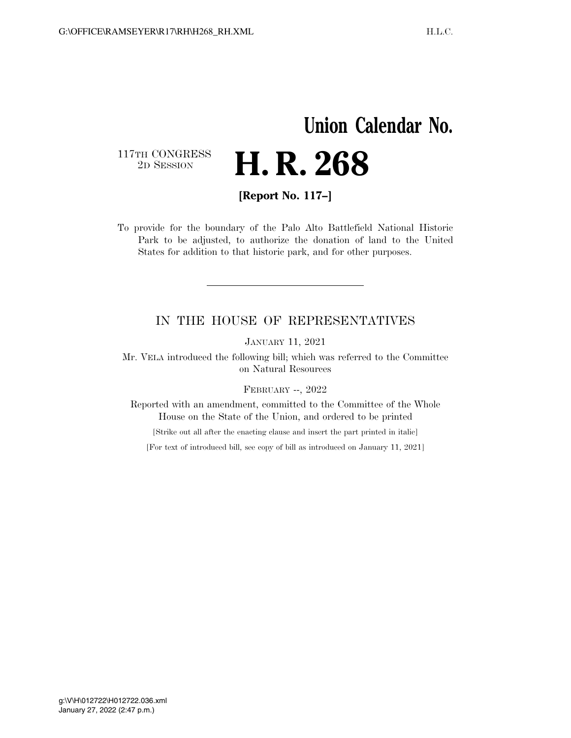## **Union Calendar No.**  117TH CONGRESS<br>2D SESSION 2D SESSION **H. R. 268**

**[Report No. 117–]** 

To provide for the boundary of the Palo Alto Battlefield National Historic Park to be adjusted, to authorize the donation of land to the United States for addition to that historic park, and for other purposes.

## IN THE HOUSE OF REPRESENTATIVES

JANUARY 11, 2021

Mr. VELA introduced the following bill; which was referred to the Committee on Natural Resources

FEBRUARY --, 2022

Reported with an amendment, committed to the Committee of the Whole House on the State of the Union, and ordered to be printed

[Strike out all after the enacting clause and insert the part printed in italic]

[For text of introduced bill, see copy of bill as introduced on January 11, 2021]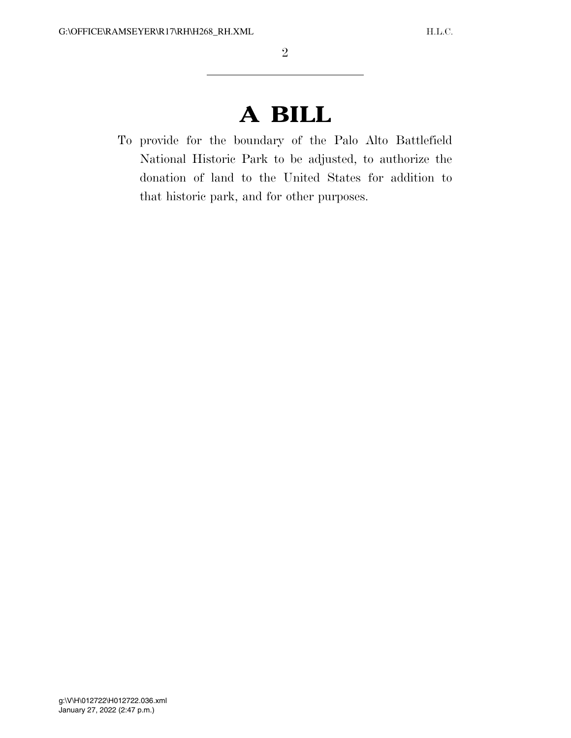## **A BILL**

To provide for the boundary of the Palo Alto Battlefield National Historic Park to be adjusted, to authorize the donation of land to the United States for addition to that historic park, and for other purposes.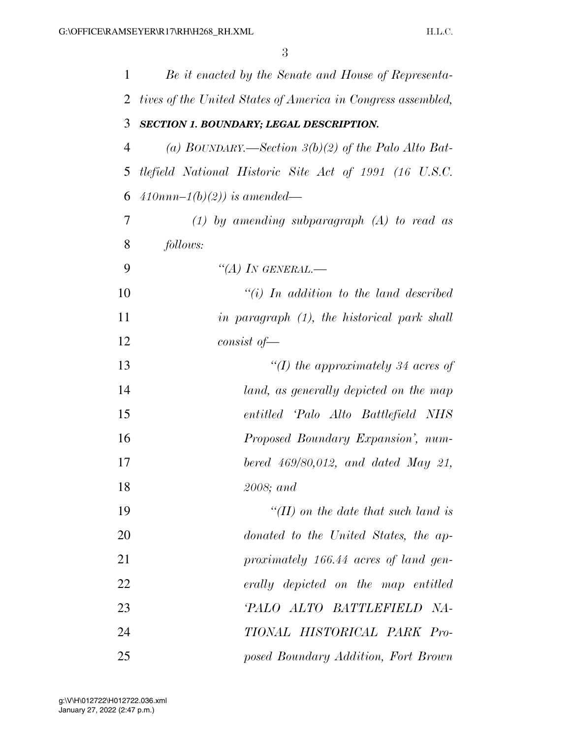| 1  | Be it enacted by the Senate and House of Representa-         |
|----|--------------------------------------------------------------|
| 2  | tives of the United States of America in Congress assembled, |
| 3  | SECTION 1. BOUNDARY; LEGAL DESCRIPTION.                      |
| 4  | (a) BOUNDARY.—Section $3(b)(2)$ of the Palo Alto Bat-        |
| 5  | tlefield National Historic Site Act of 1991 (16 U.S.C.       |
| 6  | $410nnn-1(b)(2)$ ) is amended—                               |
| 7  | $(1)$ by amending subparagraph $(A)$ to read as              |
| 8  | follows:                                                     |
| 9  | "(A) IN GENERAL.—                                            |
| 10 | $``(i)$ In addition to the land described                    |
| 11 | in paragraph (1), the historical park shall                  |
| 12 | $consist$ of —                                               |
| 13 | "(I) the approximately 34 acres of                           |
| 14 | land, as generally depicted on the map                       |
| 15 | entitled 'Palo Alto Battlefield NHS                          |
| 16 | Proposed Boundary Expansion', num-                           |
| 17 | bered $469/80,012$ , and dated May 21,                       |
| 18 | 2008; and                                                    |
| 19 | $\lq (II)$ on the date that such land is                     |
| 20 | donated to the United States, the ap-                        |
| 21 | proximately 166.44 acres of land gen-                        |
| 22 | erally depicted on the map entitled                          |
| 23 | 'PALO ALTO BATTLEFIELD NA-                                   |
| 24 | TIONAL HISTORICAL PARK Pro-                                  |
| 25 | posed Boundary Addition, Fort Brown                          |